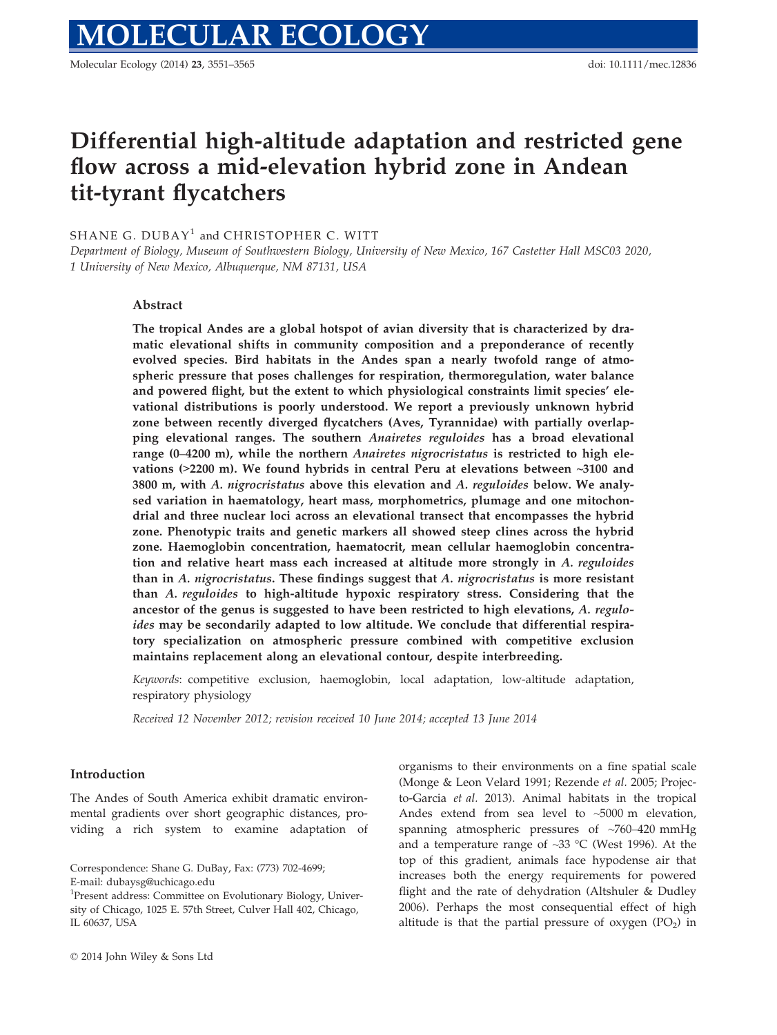# Differential high-altitude adaptation and restricted gene flow across a mid-elevation hybrid zone in Andean tit-tyrant flycatchers

## SHANE G. DUBAY<sup>1</sup> and CHRISTOPHER C. WITT

Department of Biology, Museum of Southwestern Biology, University of New Mexico, 167 Castetter Hall MSC03 2020, 1 University of New Mexico, Albuquerque, NM 87131, USA

## Abstract

The tropical Andes are a global hotspot of avian diversity that is characterized by dramatic elevational shifts in community composition and a preponderance of recently evolved species. Bird habitats in the Andes span a nearly twofold range of atmospheric pressure that poses challenges for respiration, thermoregulation, water balance and powered flight, but the extent to which physiological constraints limit species' elevational distributions is poorly understood. We report a previously unknown hybrid zone between recently diverged flycatchers (Aves, Tyrannidae) with partially overlapping elevational ranges. The southern Anairetes reguloides has a broad elevational range (0–4200 m), while the northern *Anairetes nigrocristatus* is restricted to high elevations ( $>$ 2200 m). We found hybrids in central Peru at elevations between  $\sim$ 3100 and 3800 m, with  $A$ . nigrocristatus above this elevation and  $A$ . reguloides below. We analysed variation in haematology, heart mass, morphometrics, plumage and one mitochondrial and three nuclear loci across an elevational transect that encompasses the hybrid zone. Phenotypic traits and genetic markers all showed steep clines across the hybrid zone. Haemoglobin concentration, haematocrit, mean cellular haemoglobin concentration and relative heart mass each increased at altitude more strongly in A. reguloides than in  $A$ . nigrocristatus. These findings suggest that  $A$ . nigrocristatus is more resistant than A. reguloides to high-altitude hypoxic respiratory stress. Considering that the ancestor of the genus is suggested to have been restricted to high elevations, A. reguloides may be secondarily adapted to low altitude. We conclude that differential respiratory specialization on atmospheric pressure combined with competitive exclusion maintains replacement along an elevational contour, despite interbreeding.

Keywords: competitive exclusion, haemoglobin, local adaptation, low-altitude adaptation, respiratory physiology

Received 12 November 2012; revision received 10 June 2014; accepted 13 June 2014

#### Introduction

The Andes of South America exhibit dramatic environmental gradients over short geographic distances, providing a rich system to examine adaptation of

Correspondence: Shane G. DuBay, Fax: (773) 702-4699; E-mail: dubaysg@uchicago.edu

organisms to their environments on a fine spatial scale (Monge & Leon Velard 1991; Rezende et al. 2005; Projecto-Garcia et al. 2013). Animal habitats in the tropical Andes extend from sea level to ~5000 m elevation, spanning atmospheric pressures of ~760–420 mmHg and a temperature range of  $\sim$ 33 °C (West 1996). At the top of this gradient, animals face hypodense air that increases both the energy requirements for powered flight and the rate of dehydration (Altshuler & Dudley 2006). Perhaps the most consequential effect of high altitude is that the partial pressure of oxygen  $(PO<sub>2</sub>)$  in

<sup>&</sup>lt;sup>1</sup>Present address: Committee on Evolutionary Biology, University of Chicago, 1025 E. 57th Street, Culver Hall 402, Chicago, IL 60637, USA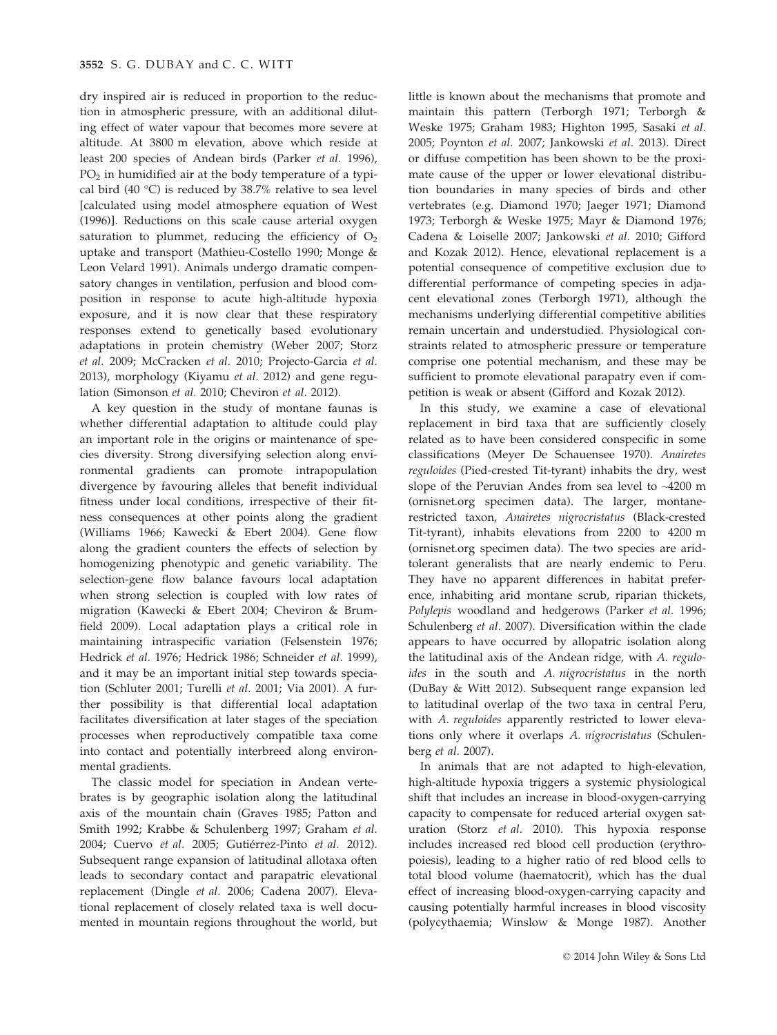dry inspired air is reduced in proportion to the reduction in atmospheric pressure, with an additional diluting effect of water vapour that becomes more severe at altitude. At 3800 m elevation, above which reside at least 200 species of Andean birds (Parker et al. 1996),  $PO<sub>2</sub>$  in humidified air at the body temperature of a typical bird (40 °C) is reduced by 38.7% relative to sea level [calculated using model atmosphere equation of West (1996)]. Reductions on this scale cause arterial oxygen saturation to plummet, reducing the efficiency of  $O<sub>2</sub>$ uptake and transport (Mathieu-Costello 1990; Monge & Leon Velard 1991). Animals undergo dramatic compensatory changes in ventilation, perfusion and blood composition in response to acute high-altitude hypoxia exposure, and it is now clear that these respiratory responses extend to genetically based evolutionary adaptations in protein chemistry (Weber 2007; Storz et al. 2009; McCracken et al. 2010; Projecto-Garcia et al. 2013), morphology (Kiyamu et al. 2012) and gene regulation (Simonson et al. 2010; Cheviron et al. 2012).

A key question in the study of montane faunas is whether differential adaptation to altitude could play an important role in the origins or maintenance of species diversity. Strong diversifying selection along environmental gradients can promote intrapopulation divergence by favouring alleles that benefit individual fitness under local conditions, irrespective of their fitness consequences at other points along the gradient (Williams 1966; Kawecki & Ebert 2004). Gene flow along the gradient counters the effects of selection by homogenizing phenotypic and genetic variability. The selection-gene flow balance favours local adaptation when strong selection is coupled with low rates of migration (Kawecki & Ebert 2004; Cheviron & Brumfield 2009). Local adaptation plays a critical role in maintaining intraspecific variation (Felsenstein 1976; Hedrick et al. 1976; Hedrick 1986; Schneider et al. 1999), and it may be an important initial step towards speciation (Schluter 2001; Turelli et al. 2001; Via 2001). A further possibility is that differential local adaptation facilitates diversification at later stages of the speciation processes when reproductively compatible taxa come into contact and potentially interbreed along environmental gradients.

The classic model for speciation in Andean vertebrates is by geographic isolation along the latitudinal axis of the mountain chain (Graves 1985; Patton and Smith 1992; Krabbe & Schulenberg 1997; Graham et al. 2004; Cuervo et al. 2005; Gutiérrez-Pinto et al. 2012). Subsequent range expansion of latitudinal allotaxa often leads to secondary contact and parapatric elevational replacement (Dingle et al. 2006; Cadena 2007). Elevational replacement of closely related taxa is well documented in mountain regions throughout the world, but

little is known about the mechanisms that promote and maintain this pattern (Terborgh 1971; Terborgh & Weske 1975; Graham 1983; Highton 1995, Sasaki et al. 2005; Poynton et al. 2007; Jankowski et al. 2013). Direct or diffuse competition has been shown to be the proximate cause of the upper or lower elevational distribution boundaries in many species of birds and other vertebrates (e.g. Diamond 1970; Jaeger 1971; Diamond 1973; Terborgh & Weske 1975; Mayr & Diamond 1976; Cadena & Loiselle 2007; Jankowski et al. 2010; Gifford and Kozak 2012). Hence, elevational replacement is a potential consequence of competitive exclusion due to differential performance of competing species in adjacent elevational zones (Terborgh 1971), although the mechanisms underlying differential competitive abilities remain uncertain and understudied. Physiological constraints related to atmospheric pressure or temperature comprise one potential mechanism, and these may be sufficient to promote elevational parapatry even if competition is weak or absent (Gifford and Kozak 2012).

In this study, we examine a case of elevational replacement in bird taxa that are sufficiently closely related as to have been considered conspecific in some classifications (Meyer De Schauensee 1970). Anairetes reguloides (Pied-crested Tit-tyrant) inhabits the dry, west slope of the Peruvian Andes from sea level to ~4200 m (ornisnet.org specimen data). The larger, montanerestricted taxon, Anairetes nigrocristatus (Black-crested Tit-tyrant), inhabits elevations from 2200 to 4200 m (ornisnet.org specimen data). The two species are aridtolerant generalists that are nearly endemic to Peru. They have no apparent differences in habitat preference, inhabiting arid montane scrub, riparian thickets, Polylepis woodland and hedgerows (Parker et al. 1996; Schulenberg et al. 2007). Diversification within the clade appears to have occurred by allopatric isolation along the latitudinal axis of the Andean ridge, with A. reguloides in the south and A. nigrocristatus in the north (DuBay & Witt 2012). Subsequent range expansion led to latitudinal overlap of the two taxa in central Peru, with A. reguloides apparently restricted to lower elevations only where it overlaps A. nigrocristatus (Schulenberg et al. 2007).

In animals that are not adapted to high-elevation, high-altitude hypoxia triggers a systemic physiological shift that includes an increase in blood-oxygen-carrying capacity to compensate for reduced arterial oxygen saturation (Storz et al. 2010). This hypoxia response includes increased red blood cell production (erythropoiesis), leading to a higher ratio of red blood cells to total blood volume (haematocrit), which has the dual effect of increasing blood-oxygen-carrying capacity and causing potentially harmful increases in blood viscosity (polycythaemia; Winslow & Monge 1987). Another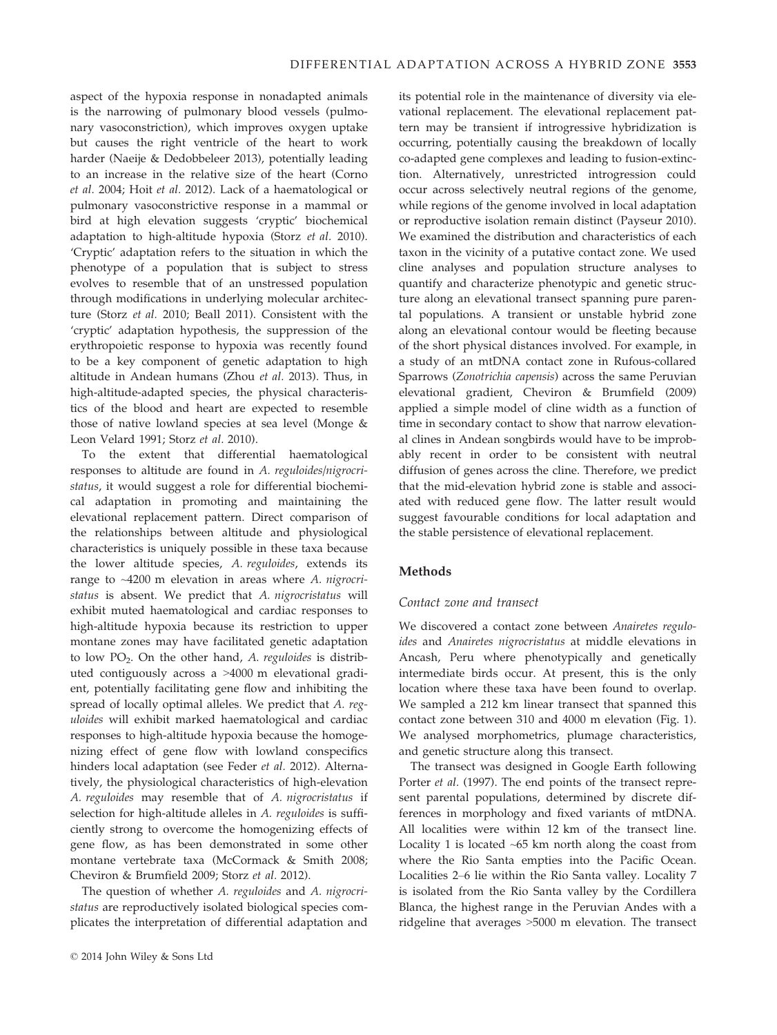aspect of the hypoxia response in nonadapted animals is the narrowing of pulmonary blood vessels (pulmonary vasoconstriction), which improves oxygen uptake but causes the right ventricle of the heart to work harder (Naeije & Dedobbeleer 2013), potentially leading to an increase in the relative size of the heart (Corno et al. 2004; Hoit et al. 2012). Lack of a haematological or pulmonary vasoconstrictive response in a mammal or bird at high elevation suggests 'cryptic' biochemical adaptation to high-altitude hypoxia (Storz et al. 2010). 'Cryptic' adaptation refers to the situation in which the phenotype of a population that is subject to stress evolves to resemble that of an unstressed population through modifications in underlying molecular architecture (Storz et al. 2010; Beall 2011). Consistent with the 'cryptic' adaptation hypothesis, the suppression of the erythropoietic response to hypoxia was recently found to be a key component of genetic adaptation to high altitude in Andean humans (Zhou et al. 2013). Thus, in high-altitude-adapted species, the physical characteristics of the blood and heart are expected to resemble those of native lowland species at sea level (Monge & Leon Velard 1991; Storz et al. 2010).

To the extent that differential haematological responses to altitude are found in A. reguloides/nigrocristatus, it would suggest a role for differential biochemical adaptation in promoting and maintaining the elevational replacement pattern. Direct comparison of the relationships between altitude and physiological characteristics is uniquely possible in these taxa because the lower altitude species, A. reguloides, extends its range to ~4200 m elevation in areas where A. nigrocristatus is absent. We predict that A. nigrocristatus will exhibit muted haematological and cardiac responses to high-altitude hypoxia because its restriction to upper montane zones may have facilitated genetic adaptation to low  $PO<sub>2</sub>$ . On the other hand, A. reguloides is distributed contiguously across a >4000 m elevational gradient, potentially facilitating gene flow and inhibiting the spread of locally optimal alleles. We predict that A. reguloides will exhibit marked haematological and cardiac responses to high-altitude hypoxia because the homogenizing effect of gene flow with lowland conspecifics hinders local adaptation (see Feder et al. 2012). Alternatively, the physiological characteristics of high-elevation A. reguloides may resemble that of A. nigrocristatus if selection for high-altitude alleles in A. reguloides is sufficiently strong to overcome the homogenizing effects of gene flow, as has been demonstrated in some other montane vertebrate taxa (McCormack & Smith 2008; Cheviron & Brumfield 2009; Storz et al. 2012).

The question of whether A. reguloides and A. nigrocristatus are reproductively isolated biological species complicates the interpretation of differential adaptation and

its potential role in the maintenance of diversity via elevational replacement. The elevational replacement pattern may be transient if introgressive hybridization is occurring, potentially causing the breakdown of locally co-adapted gene complexes and leading to fusion-extinction. Alternatively, unrestricted introgression could occur across selectively neutral regions of the genome, while regions of the genome involved in local adaptation or reproductive isolation remain distinct (Payseur 2010). We examined the distribution and characteristics of each taxon in the vicinity of a putative contact zone. We used cline analyses and population structure analyses to quantify and characterize phenotypic and genetic structure along an elevational transect spanning pure parental populations. A transient or unstable hybrid zone along an elevational contour would be fleeting because of the short physical distances involved. For example, in a study of an mtDNA contact zone in Rufous-collared Sparrows (Zonotrichia capensis) across the same Peruvian elevational gradient, Cheviron & Brumfield (2009) applied a simple model of cline width as a function of time in secondary contact to show that narrow elevational clines in Andean songbirds would have to be improbably recent in order to be consistent with neutral diffusion of genes across the cline. Therefore, we predict that the mid-elevation hybrid zone is stable and associated with reduced gene flow. The latter result would suggest favourable conditions for local adaptation and the stable persistence of elevational replacement.

## Methods

#### Contact zone and transect

We discovered a contact zone between Anairetes reguloides and Anairetes nigrocristatus at middle elevations in Ancash, Peru where phenotypically and genetically intermediate birds occur. At present, this is the only location where these taxa have been found to overlap. We sampled a 212 km linear transect that spanned this contact zone between 310 and 4000 m elevation (Fig. 1). We analysed morphometrics, plumage characteristics, and genetic structure along this transect.

The transect was designed in Google Earth following Porter et al. (1997). The end points of the transect represent parental populations, determined by discrete differences in morphology and fixed variants of mtDNA. All localities were within 12 km of the transect line. Locality 1 is located ~65 km north along the coast from where the Rio Santa empties into the Pacific Ocean. Localities 2–6 lie within the Rio Santa valley. Locality 7 is isolated from the Rio Santa valley by the Cordillera Blanca, the highest range in the Peruvian Andes with a ridgeline that averages >5000 m elevation. The transect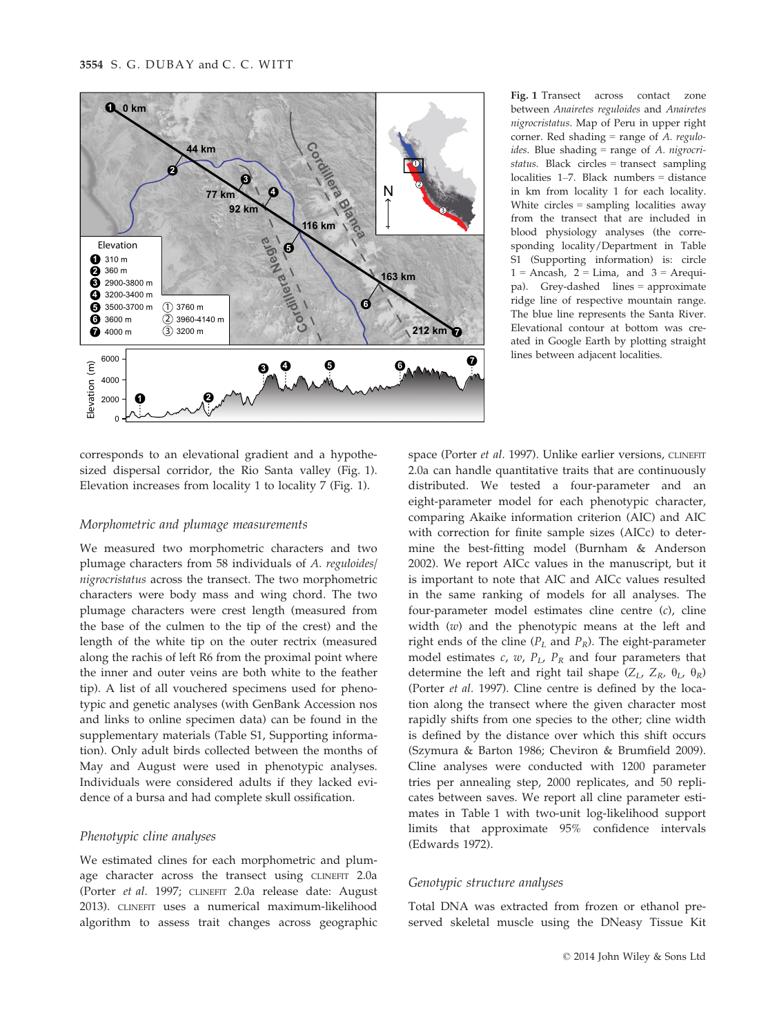

Fig. 1 Transect across contact zone between Anairetes reguloides and Anairetes nigrocristatus. Map of Peru in upper right corner. Red shading  $=$  range of A. regulo*ides*. Blue shading  $=$  range of A. *nigrocri*status. Black circles = transect sampling localities 1–7. Black numbers = distance in km from locality 1 for each locality. White circles = sampling localities away from the transect that are included in blood physiology analyses (the corresponding locality/Department in Table S1 (Supporting information) is: circle  $1 =$  Ancash,  $2 =$  Lima, and  $3 =$  Arequipa). Grey-dashed lines = approximate ridge line of respective mountain range. The blue line represents the Santa River. Elevational contour at bottom was created in Google Earth by plotting straight lines between adjacent localities.

corresponds to an elevational gradient and a hypothesized dispersal corridor, the Rio Santa valley (Fig. 1). Elevation increases from locality 1 to locality 7 (Fig. 1).

## Morphometric and plumage measurements

We measured two morphometric characters and two plumage characters from 58 individuals of A. reguloides/ nigrocristatus across the transect. The two morphometric characters were body mass and wing chord. The two plumage characters were crest length (measured from the base of the culmen to the tip of the crest) and the length of the white tip on the outer rectrix (measured along the rachis of left R6 from the proximal point where the inner and outer veins are both white to the feather tip). A list of all vouchered specimens used for phenotypic and genetic analyses (with GenBank Accession nos and links to online specimen data) can be found in the supplementary materials (Table S1, Supporting information). Only adult birds collected between the months of May and August were used in phenotypic analyses. Individuals were considered adults if they lacked evidence of a bursa and had complete skull ossification.

# Phenotypic cline analyses

We estimated clines for each morphometric and plumage character across the transect using CLINEFIT 2.0a (Porter et al. 1997; CLINEFIT 2.0a release date: August 2013). CLINEFIT uses a numerical maximum-likelihood algorithm to assess trait changes across geographic

space (Porter et al. 1997). Unlike earlier versions, CLINEFIT 2.0a can handle quantitative traits that are continuously distributed. We tested a four-parameter and an eight-parameter model for each phenotypic character, comparing Akaike information criterion (AIC) and AIC with correction for finite sample sizes (AICc) to determine the best-fitting model (Burnham & Anderson 2002). We report AICc values in the manuscript, but it is important to note that AIC and AICc values resulted in the same ranking of models for all analyses. The four-parameter model estimates cline centre (c), cline width (w) and the phenotypic means at the left and right ends of the cline ( $P_L$  and  $P_R$ ). The eight-parameter model estimates c, w,  $P_L$ ,  $P_R$  and four parameters that determine the left and right tail shape  $(Z_L, Z_R, \theta_L, \theta_R)$ (Porter et al. 1997). Cline centre is defined by the location along the transect where the given character most rapidly shifts from one species to the other; cline width is defined by the distance over which this shift occurs (Szymura & Barton 1986; Cheviron & Brumfield 2009). Cline analyses were conducted with 1200 parameter tries per annealing step, 2000 replicates, and 50 replicates between saves. We report all cline parameter estimates in Table 1 with two-unit log-likelihood support limits that approximate 95% confidence intervals (Edwards 1972).

## Genotypic structure analyses

Total DNA was extracted from frozen or ethanol preserved skeletal muscle using the DNeasy Tissue Kit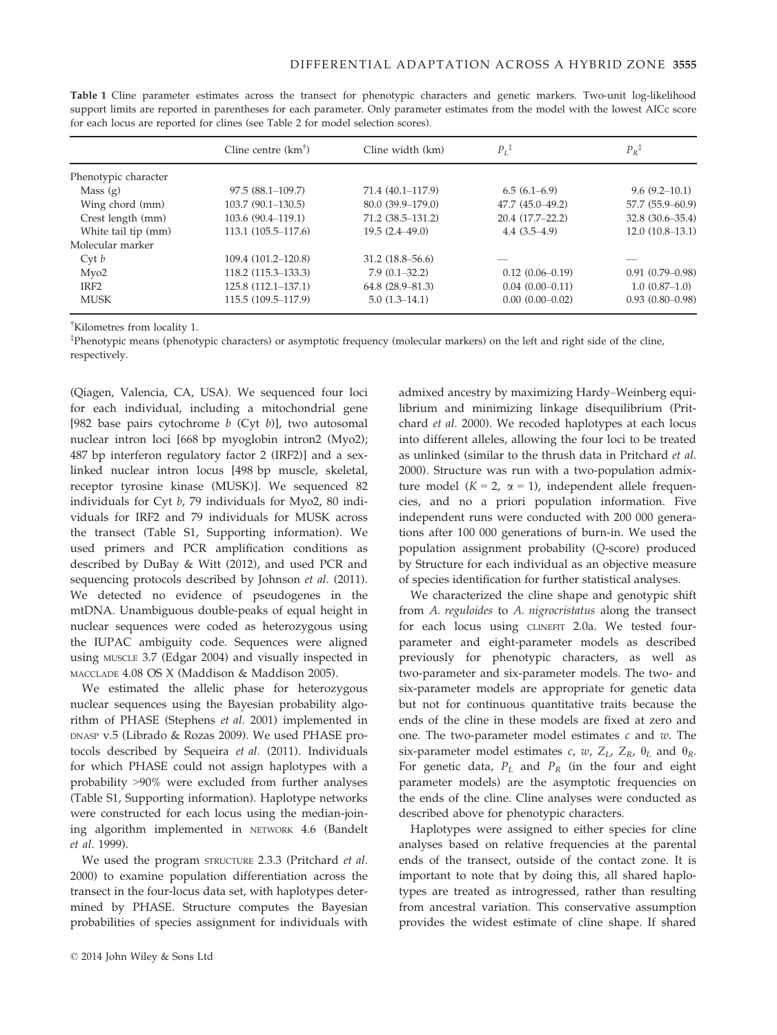|                      | Cline centre $(km^{\dagger})$ | Cline width (km)     | $P_I^{\ddagger}$    | $P_R$ <sup>1</sup>  |
|----------------------|-------------------------------|----------------------|---------------------|---------------------|
| Phenotypic character |                               |                      |                     |                     |
| Mass $(g)$           | $97.5(88.1-109.7)$            | 71.4 (40.1-117.9)    | $6.5(6.1-6.9)$      | $9.6(9.2-10.1)$     |
| Wing chord (mm)      | $103.7(90.1-130.5)$           | $80.0(39.9-179.0)$   | 47.7 (45.0-49.2)    | 57.7 (55.9–60.9)    |
| Crest length (mm)    | 103.6(90.4–119.1)             | $71.2(38.5 - 131.2)$ | $20.4(17.7-22.2)$   | $32.8(30.6 - 35.4)$ |
| White tail tip (mm)  | 113.1 (105.5-117.6)           | $19.5(2.4 - 49.0)$   | $4.4(3.5-4.9)$      | $12.0(10.8-13.1)$   |
| Molecular marker     |                               |                      |                     |                     |
| Cyt b                | 109.4 (101.2-120.8)           | $31.2(18.8 - 56.6)$  |                     |                     |
| Myo2                 | 118.2 (115.3–133.3)           | $7.9(0.1 - 32.2)$    | $0.12(0.06 - 0.19)$ | $0.91(0.79-0.98)$   |
| IRF <sub>2</sub>     | 125.8 (112.1-137.1)           | $64.8(28.9 - 81.3)$  | $0.04(0.00-0.11)$   | $1.0(0.87-1.0)$     |
| <b>MUSK</b>          | 115.5 (109.5-117.9)           | $5.0(1.3-14.1)$      | $0.00(0.00-0.02)$   | $0.93(0.80 - 0.98)$ |

Table 1 Cline parameter estimates across the transect for phenotypic characters and genetic markers. Two-unit log-likelihood support limits are reported in parentheses for each parameter. Only parameter estimates from the model with the lowest AICc score for each locus are reported for clines (see Table 2 for model selection scores).

† Kilometres from locality 1.

‡ Phenotypic means (phenotypic characters) or asymptotic frequency (molecular markers) on the left and right side of the cline, respectively.

(Qiagen, Valencia, CA, USA). We sequenced four loci for each individual, including a mitochondrial gene [982 base pairs cytochrome  $b$  (Cyt  $b$ )], two autosomal nuclear intron loci [668 bp myoglobin intron2 (Myo2); 487 bp interferon regulatory factor 2 (IRF2)] and a sexlinked nuclear intron locus [498 bp muscle, skeletal, receptor tyrosine kinase (MUSK)]. We sequenced 82 individuals for Cyt b, 79 individuals for Myo2, 80 individuals for IRF2 and 79 individuals for MUSK across the transect (Table S1, Supporting information). We used primers and PCR amplification conditions as described by DuBay & Witt (2012), and used PCR and sequencing protocols described by Johnson et al. (2011). We detected no evidence of pseudogenes in the mtDNA. Unambiguous double-peaks of equal height in nuclear sequences were coded as heterozygous using the IUPAC ambiguity code. Sequences were aligned using MUSCLE 3.7 (Edgar 2004) and visually inspected in MACCLADE 4.08 OS X (Maddison & Maddison 2005).

We estimated the allelic phase for heterozygous nuclear sequences using the Bayesian probability algorithm of PHASE (Stephens et al. 2001) implemented in DNASP v.5 (Librado & Rozas 2009). We used PHASE protocols described by Sequeira et al. (2011). Individuals for which PHASE could not assign haplotypes with a probability >90% were excluded from further analyses (Table S1, Supporting information). Haplotype networks were constructed for each locus using the median-joining algorithm implemented in NETWORK 4.6 (Bandelt et al. 1999).

We used the program STRUCTURE 2.3.3 (Pritchard et al. 2000) to examine population differentiation across the transect in the four-locus data set, with haplotypes determined by PHASE. Structure computes the Bayesian probabilities of species assignment for individuals with admixed ancestry by maximizing Hardy–Weinberg equilibrium and minimizing linkage disequilibrium (Pritchard et al. 2000). We recoded haplotypes at each locus into different alleles, allowing the four loci to be treated as unlinked (similar to the thrush data in Pritchard et al. 2000). Structure was run with a two-population admixture model  $(K = 2, \alpha = 1)$ , independent allele frequencies, and no a priori population information. Five independent runs were conducted with 200 000 generations after 100 000 generations of burn-in. We used the population assignment probability (Q-score) produced by Structure for each individual as an objective measure of species identification for further statistical analyses.

We characterized the cline shape and genotypic shift from A. reguloides to A. nigrocristatus along the transect for each locus using CLINEFIT 2.0a. We tested fourparameter and eight-parameter models as described previously for phenotypic characters, as well as two-parameter and six-parameter models. The two- and six-parameter models are appropriate for genetic data but not for continuous quantitative traits because the ends of the cline in these models are fixed at zero and one. The two-parameter model estimates  $c$  and  $w$ . The six-parameter model estimates c, w,  $Z_L$ ,  $Z_R$ ,  $\theta_L$  and  $\theta_R$ . For genetic data,  $P_L$  and  $P_R$  (in the four and eight parameter models) are the asymptotic frequencies on the ends of the cline. Cline analyses were conducted as described above for phenotypic characters.

Haplotypes were assigned to either species for cline analyses based on relative frequencies at the parental ends of the transect, outside of the contact zone. It is important to note that by doing this, all shared haplotypes are treated as introgressed, rather than resulting from ancestral variation. This conservative assumption provides the widest estimate of cline shape. If shared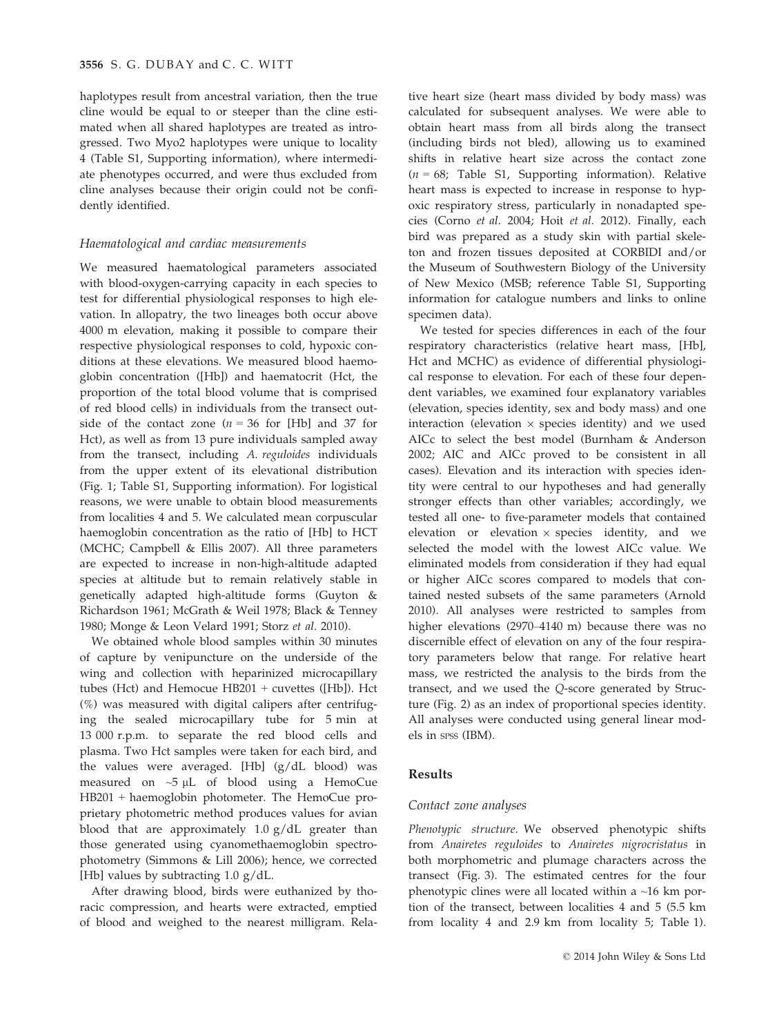haplotypes result from ancestral variation, then the true cline would be equal to or steeper than the cline estimated when all shared haplotypes are treated as introgressed. Two Myo2 haplotypes were unique to locality 4 (Table S1, Supporting information), where intermediate phenotypes occurred, and were thus excluded from cline analyses because their origin could not be confidently identified.

#### Haematological and cardiac measurements

We measured haematological parameters associated with blood-oxygen-carrying capacity in each species to test for differential physiological responses to high elevation. In allopatry, the two lineages both occur above 4000 m elevation, making it possible to compare their respective physiological responses to cold, hypoxic conditions at these elevations. We measured blood haemoglobin concentration ([Hb]) and haematocrit (Hct, the proportion of the total blood volume that is comprised of red blood cells) in individuals from the transect outside of the contact zone ( $n = 36$  for [Hb] and 37 for Hct), as well as from 13 pure individuals sampled away from the transect, including A. reguloides individuals from the upper extent of its elevational distribution (Fig. 1; Table S1, Supporting information). For logistical reasons, we were unable to obtain blood measurements from localities 4 and 5. We calculated mean corpuscular haemoglobin concentration as the ratio of [Hb] to HCT (MCHC; Campbell & Ellis 2007). All three parameters are expected to increase in non-high-altitude adapted species at altitude but to remain relatively stable in genetically adapted high-altitude forms (Guyton & Richardson 1961; McGrath & Weil 1978; Black & Tenney 1980; Monge & Leon Velard 1991; Storz et al. 2010).

We obtained whole blood samples within 30 minutes of capture by venipuncture on the underside of the wing and collection with heparinized microcapillary tubes (Hct) and Hemocue HB201 + cuvettes ([Hb]). Hct (%) was measured with digital calipers after centrifuging the sealed microcapillary tube for 5 min at 13 000 r.p.m. to separate the red blood cells and plasma. Two Hct samples were taken for each bird, and the values were averaged. [Hb] (g/dL blood) was measured on  $\sim$ 5 µL of blood using a HemoCue HB201 + haemoglobin photometer. The HemoCue proprietary photometric method produces values for avian blood that are approximately 1.0 g/dL greater than those generated using cyanomethaemoglobin spectrophotometry (Simmons & Lill 2006); hence, we corrected [Hb] values by subtracting  $1.0 \text{ g/dL}$ .

After drawing blood, birds were euthanized by thoracic compression, and hearts were extracted, emptied of blood and weighed to the nearest milligram. Rela-

tive heart size (heart mass divided by body mass) was calculated for subsequent analyses. We were able to obtain heart mass from all birds along the transect (including birds not bled), allowing us to examined shifts in relative heart size across the contact zone  $(n = 68;$  Table S1, Supporting information). Relative heart mass is expected to increase in response to hypoxic respiratory stress, particularly in nonadapted species (Corno et al. 2004; Hoit et al. 2012). Finally, each bird was prepared as a study skin with partial skeleton and frozen tissues deposited at CORBIDI and/or the Museum of Southwestern Biology of the University of New Mexico (MSB; reference Table S1, Supporting information for catalogue numbers and links to online specimen data).

We tested for species differences in each of the four respiratory characteristics (relative heart mass, [Hb], Hct and MCHC) as evidence of differential physiological response to elevation. For each of these four dependent variables, we examined four explanatory variables (elevation, species identity, sex and body mass) and one interaction (elevation  $\times$  species identity) and we used AICc to select the best model (Burnham & Anderson 2002; AIC and AICc proved to be consistent in all cases). Elevation and its interaction with species identity were central to our hypotheses and had generally stronger effects than other variables; accordingly, we tested all one- to five-parameter models that contained elevation or elevation  $\times$  species identity, and we selected the model with the lowest AICc value. We eliminated models from consideration if they had equal or higher AICc scores compared to models that contained nested subsets of the same parameters (Arnold 2010). All analyses were restricted to samples from higher elevations (2970–4140 m) because there was no discernible effect of elevation on any of the four respiratory parameters below that range. For relative heart mass, we restricted the analysis to the birds from the transect, and we used the Q-score generated by Structure (Fig. 2) as an index of proportional species identity. All analyses were conducted using general linear models in SPSS (IBM).

## Results

### Contact zone analyses

Phenotypic structure. We observed phenotypic shifts from Anairetes reguloides to Anairetes nigrocristatus in both morphometric and plumage characters across the transect (Fig. 3). The estimated centres for the four phenotypic clines were all located within a ~16 km portion of the transect, between localities 4 and 5 (5.5 km from locality 4 and 2.9 km from locality 5; Table 1).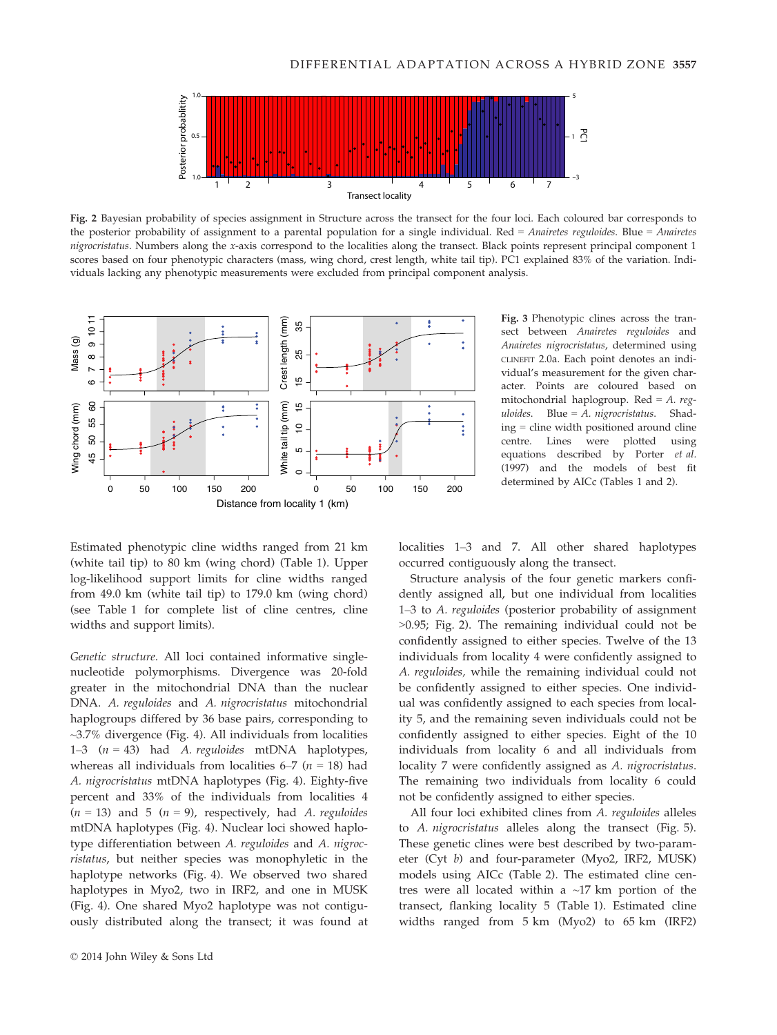

Fig. 2 Bayesian probability of species assignment in Structure across the transect for the four loci. Each coloured bar corresponds to the posterior probability of assignment to a parental population for a single individual. Red = Anairetes reguloides. Blue = Anairetes nigrocristatus. Numbers along the x-axis correspond to the localities along the transect. Black points represent principal component 1 scores based on four phenotypic characters (mass, wing chord, crest length, white tail tip). PC1 explained 83% of the variation. Individuals lacking any phenotypic measurements were excluded from principal component analysis.



Fig. 3 Phenotypic clines across the transect between Anairetes reguloides and Anairetes nigrocristatus, determined using CLINEFIT 2.0a. Each point denotes an individual's measurement for the given character. Points are coloured based on mitochondrial haplogroup. Red =  $A$ . reguloides. Blue =  $A$ . nigrocristatus. Shading = cline width positioned around cline centre. Lines were plotted using equations described by Porter et al. (1997) and the models of best fit determined by AICc (Tables 1 and 2).

Estimated phenotypic cline widths ranged from 21 km (white tail tip) to 80 km (wing chord) (Table 1). Upper log-likelihood support limits for cline widths ranged from 49.0 km (white tail tip) to 179.0 km (wing chord) (see Table 1 for complete list of cline centres, cline widths and support limits).

Genetic structure. All loci contained informative singlenucleotide polymorphisms. Divergence was 20-fold greater in the mitochondrial DNA than the nuclear DNA. A. reguloides and A. nigrocristatus mitochondrial haplogroups differed by 36 base pairs, corresponding to ~3.7% divergence (Fig. 4). All individuals from localities 1–3  $(n = 43)$  had A. reguloides mtDNA haplotypes, whereas all individuals from localities  $6-7$  ( $n = 18$ ) had A. nigrocristatus mtDNA haplotypes (Fig. 4). Eighty-five percent and 33% of the individuals from localities 4  $(n = 13)$  and 5  $(n = 9)$ , respectively, had A. reguloides mtDNA haplotypes (Fig. 4). Nuclear loci showed haplotype differentiation between A. reguloides and A. nigrocristatus, but neither species was monophyletic in the haplotype networks (Fig. 4). We observed two shared haplotypes in Myo2, two in IRF2, and one in MUSK (Fig. 4). One shared Myo2 haplotype was not contiguously distributed along the transect; it was found at localities 1–3 and 7. All other shared haplotypes occurred contiguously along the transect.

Structure analysis of the four genetic markers confidently assigned all, but one individual from localities 1–3 to A. reguloides (posterior probability of assignment >0.95; Fig. 2). The remaining individual could not be confidently assigned to either species. Twelve of the 13 individuals from locality 4 were confidently assigned to A. reguloides, while the remaining individual could not be confidently assigned to either species. One individual was confidently assigned to each species from locality 5, and the remaining seven individuals could not be confidently assigned to either species. Eight of the 10 individuals from locality 6 and all individuals from locality 7 were confidently assigned as A. nigrocristatus. The remaining two individuals from locality 6 could not be confidently assigned to either species.

All four loci exhibited clines from A. reguloides alleles to A. nigrocristatus alleles along the transect (Fig. 5). These genetic clines were best described by two-parameter (Cyt b) and four-parameter (Myo2, IRF2, MUSK) models using AICc (Table 2). The estimated cline centres were all located within a  $\sim$ 17 km portion of the transect, flanking locality 5 (Table 1). Estimated cline widths ranged from 5 km (Myo2) to 65 km (IRF2)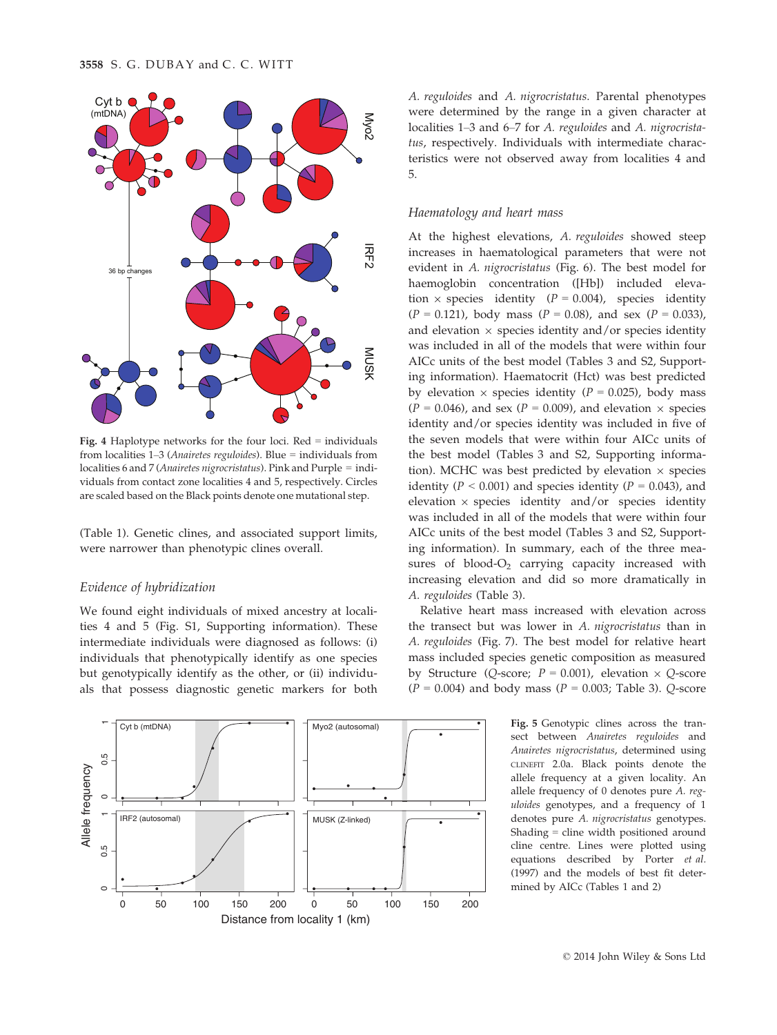

Fig. 4 Haplotype networks for the four loci. Red = individuals from localities 1–3 (Anairetes reguloides). Blue = individuals from localities 6 and 7 (Anairetes nigrocristatus). Pink and Purple = individuals from contact zone localities 4 and 5, respectively. Circles are scaled based on the Black points denote one mutational step.

(Table 1). Genetic clines, and associated support limits, were narrower than phenotypic clines overall.

## Evidence of hybridization

We found eight individuals of mixed ancestry at localities 4 and 5 (Fig. S1, Supporting information). These intermediate individuals were diagnosed as follows: (i) individuals that phenotypically identify as one species but genotypically identify as the other, or (ii) individuals that possess diagnostic genetic markers for both



A. reguloides and A. nigrocristatus. Parental phenotypes were determined by the range in a given character at localities 1–3 and 6–7 for A. reguloides and A. nigrocristatus, respectively. Individuals with intermediate characteristics were not observed away from localities 4 and 5.

## Haematology and heart mass

At the highest elevations, A. reguloides showed steep increases in haematological parameters that were not evident in A. nigrocristatus (Fig. 6). The best model for haemoglobin concentration ([Hb]) included elevation  $\times$  species identity ( $P = 0.004$ ), species identity  $(P = 0.121)$ , body mass  $(P = 0.08)$ , and sex  $(P = 0.033)$ , and elevation  $\times$  species identity and/or species identity was included in all of the models that were within four AICc units of the best model (Tables 3 and S2, Supporting information). Haematocrit (Hct) was best predicted by elevation  $\times$  species identity ( $P = 0.025$ ), body mass  $(P = 0.046)$ , and sex  $(P = 0.009)$ , and elevation  $\times$  species identity and/or species identity was included in five of the seven models that were within four AICc units of the best model (Tables 3 and S2, Supporting information). MCHC was best predicted by elevation  $\times$  species identity ( $P < 0.001$ ) and species identity ( $P = 0.043$ ), and elevation  $\times$  species identity and/or species identity was included in all of the models that were within four AICc units of the best model (Tables 3 and S2, Supporting information). In summary, each of the three measures of blood- $O_2$  carrying capacity increased with increasing elevation and did so more dramatically in A. reguloides (Table 3).

Relative heart mass increased with elevation across the transect but was lower in A. nigrocristatus than in A. reguloides (Fig. 7). The best model for relative heart mass included species genetic composition as measured by Structure (Q-score;  $P = 0.001$ ), elevation  $\times$  Q-score  $(P = 0.004)$  and body mass  $(P = 0.003;$  Table 3). Q-score

> Fig. 5 Genotypic clines across the transect between Anairetes reguloides and Anairetes nigrocristatus, determined using CLINEFIT 2.0a. Black points denote the allele frequency at a given locality. An allele frequency of 0 denotes pure A. reguloides genotypes, and a frequency of 1 denotes pure A. nigrocristatus genotypes. Shading = cline width positioned around cline centre. Lines were plotted using equations described by Porter et al. (1997) and the models of best fit determined by AICc (Tables 1 and 2)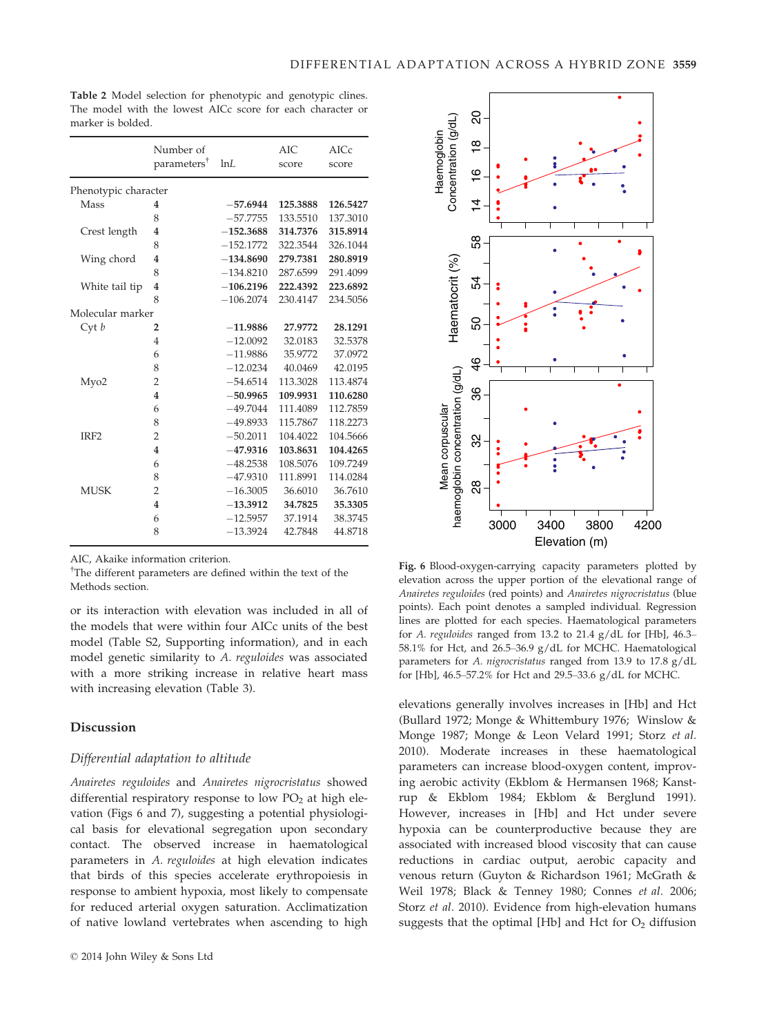|                      | Number of<br>parameters <sup>†</sup> | lnL         | AIC<br>score | AICc<br>score |
|----------------------|--------------------------------------|-------------|--------------|---------------|
| Phenotypic character |                                      |             |              |               |
| Mass                 | 4                                    | $-57.6944$  | 125.3888     | 126.5427      |
|                      | 8                                    | $-57.7755$  | 133.5510     | 137.3010      |
| Crest length         | 4                                    | $-152.3688$ | 314.7376     | 315.8914      |
|                      | 8                                    | $-152.1772$ | 322.3544     | 326.1044      |
| Wing chord           | $\overline{4}$                       | $-134.8690$ | 279.7381     | 280.8919      |
|                      | 8                                    | $-134.8210$ | 287.6599     | 291.4099      |
| White tail tip       | 4                                    | $-106.2196$ | 222.4392     | 223.6892      |
|                      | 8                                    | $-106.2074$ | 230.4147     | 234.5056      |
| Molecular marker     |                                      |             |              |               |
| Cyt b                | 2                                    | $-11.9886$  | 27.9772      | 28.1291       |
|                      | $\overline{4}$                       | $-12.0092$  | 32.0183      | 32.5378       |
|                      | 6                                    | $-11.9886$  | 35.9772      | 37.0972       |
|                      | 8                                    | $-12.0234$  | 40.0469      | 42.0195       |
| My <sub>o</sub> 2    | $\overline{2}$                       | $-54.6514$  | 113.3028     | 113.4874      |
|                      | $\overline{4}$                       | $-50.9965$  | 109.9931     | 110.6280      |
|                      | 6                                    | $-49.7044$  | 111.4089     | 112.7859      |
|                      | 8                                    | $-49.8933$  | 115.7867     | 118.2273      |
| IRF <sub>2</sub>     | $\overline{2}$                       | $-50.2011$  | 104.4022     | 104.5666      |
|                      | $\overline{4}$                       | $-47.9316$  | 103.8631     | 104.4265      |
|                      | 6                                    | $-48.2538$  | 108.5076     | 109.7249      |
|                      | 8                                    | $-47.9310$  | 111.8991     | 114.0284      |
| <b>MUSK</b>          | $\overline{2}$                       | $-16.3005$  | 36.6010      | 36.7610       |
|                      | 4                                    | $-13.3912$  | 34.7825      | 35.3305       |
|                      | 6                                    | $-12.5957$  | 37.1914      | 38.3745       |
|                      | 8                                    | $-13.3924$  | 42.7848      | 44.8718       |

Table 2 Model selection for phenotypic and genotypic clines. The model with the lowest AICc score for each character or marker is bolded.

AIC, Akaike information criterion.

<sup>†</sup>The different parameters are defined within the text of the Methods section.

or its interaction with elevation was included in all of the models that were within four AICc units of the best model (Table S2, Supporting information), and in each model genetic similarity to A. reguloides was associated with a more striking increase in relative heart mass with increasing elevation (Table 3).

### Discussion

### Differential adaptation to altitude

Anairetes reguloides and Anairetes nigrocristatus showed differential respiratory response to low  $PO<sub>2</sub>$  at high elevation (Figs 6 and 7), suggesting a potential physiological basis for elevational segregation upon secondary contact. The observed increase in haematological parameters in A. reguloides at high elevation indicates that birds of this species accelerate erythropoiesis in response to ambient hypoxia, most likely to compensate for reduced arterial oxygen saturation. Acclimatization of native lowland vertebrates when ascending to high



Fig. 6 Blood-oxygen-carrying capacity parameters plotted by elevation across the upper portion of the elevational range of Anairetes reguloides (red points) and Anairetes nigrocristatus (blue points). Each point denotes a sampled individual. Regression lines are plotted for each species. Haematological parameters for A. reguloides ranged from 13.2 to 21.4 g/dL for [Hb], 46.3– 58.1% for Hct, and 26.5–36.9 g/dL for MCHC. Haematological parameters for A. nigrocristatus ranged from 13.9 to 17.8 g/dL for [Hb], 46.5–57.2% for Hct and 29.5–33.6 g/dL for MCHC.

elevations generally involves increases in [Hb] and Hct (Bullard 1972; Monge & Whittembury 1976; Winslow & Monge 1987; Monge & Leon Velard 1991; Storz et al. 2010). Moderate increases in these haematological parameters can increase blood-oxygen content, improving aerobic activity (Ekblom & Hermansen 1968; Kanstrup & Ekblom 1984; Ekblom & Berglund 1991). However, increases in [Hb] and Hct under severe hypoxia can be counterproductive because they are associated with increased blood viscosity that can cause reductions in cardiac output, aerobic capacity and venous return (Guyton & Richardson 1961; McGrath & Weil 1978; Black & Tenney 1980; Connes et al. 2006; Storz et al. 2010). Evidence from high-elevation humans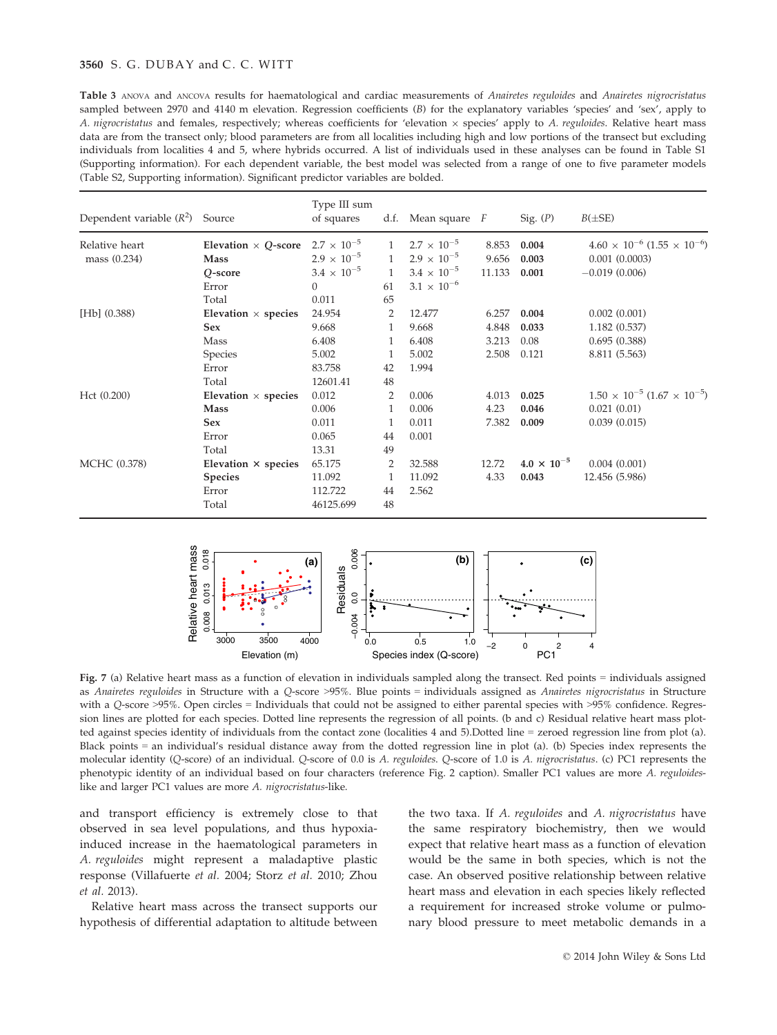## 3560 S. G. DUBAY and C. C. WITT

Table 3 ANOVA and ANCOVA results for haematological and cardiac measurements of Anairetes reguloides and Anairetes nigrocristatus sampled between 2970 and 4140 m elevation. Regression coefficients (B) for the explanatory variables 'species' and 'sex', apply to A. nigrocristatus and females, respectively; whereas coefficients for 'elevation x species' apply to A. reguloides. Relative heart mass data are from the transect only; blood parameters are from all localities including high and low portions of the transect but excluding individuals from localities 4 and 5, where hybrids occurred. A list of individuals used in these analyses can be found in Table S1 (Supporting information). For each dependent variable, the best model was selected from a range of one to five parameter models (Table S2, Supporting information). Significant predictor variables are bolded.

| Dependent variable $(R^2)$ Source |                            | Type III sum<br>of squares |              | d.f. Mean square $F$ |        | Sig. $(P)$           | $B(\pm SE)$                                   |
|-----------------------------------|----------------------------|----------------------------|--------------|----------------------|--------|----------------------|-----------------------------------------------|
| Relative heart                    | Elevation $\times$ Q-score | $2.7 \times 10^{-5}$       | 1            | $2.7 \times 10^{-5}$ | 8.853  | 0.004                | $4.60 \times 10^{-6}$ $(1.55 \times 10^{-6})$ |
| mass (0.234)                      | <b>Mass</b>                | $2.9 \times 10^{-5}$       | $\mathbf{1}$ | $2.9 \times 10^{-5}$ | 9.656  | 0.003                | $0.001$ $(0.0003)$                            |
|                                   | Q-score                    | $3.4 \times 10^{-5}$       | $\mathbf{1}$ | $3.4 \times 10^{-5}$ | 11.133 | 0.001                | $-0.019(0.006)$                               |
|                                   | Error                      | $\Omega$                   | 61           | $3.1 \times 10^{-6}$ |        |                      |                                               |
|                                   | Total                      | 0.011                      | 65           |                      |        |                      |                                               |
| $[Hb]$ $(0.388)$                  | Elevation $\times$ species | 24.954                     | 2            | 12.477               | 6.257  | 0.004                | 0.002(0.001)                                  |
|                                   | <b>Sex</b>                 | 9.668                      | 1            | 9.668                | 4.848  | 0.033                | 1.182(0.537)                                  |
|                                   | Mass                       | 6.408                      | 1            | 6.408                | 3.213  | 0.08                 | 0.695(0.388)                                  |
|                                   | Species                    | 5.002                      | 1            | 5.002                | 2.508  | 0.121                | 8.811 (5.563)                                 |
|                                   | Error                      | 83.758                     | 42           | 1.994                |        |                      |                                               |
|                                   | Total                      | 12601.41                   | 48           |                      |        |                      |                                               |
| Hct(0.200)                        | Elevation $\times$ species | 0.012                      | 2            | 0.006                | 4.013  | 0.025                | $1.50 \times 10^{-5}$ $(1.67 \times 10^{-5})$ |
|                                   | <b>Mass</b>                | 0.006                      | 1            | 0.006                | 4.23   | 0.046                | 0.021(0.01)                                   |
|                                   | <b>Sex</b>                 | 0.011                      | 1            | 0.011                | 7.382  | 0.009                | 0.039(0.015)                                  |
|                                   | Error                      | 0.065                      | 44           | 0.001                |        |                      |                                               |
|                                   | Total                      | 13.31                      | 49           |                      |        |                      |                                               |
| MCHC (0.378)                      | Elevation × species        | 65.175                     | 2            | 32.588               | 12.72  | $4.0 \times 10^{-5}$ | 0.004(0.001)                                  |
|                                   | <b>Species</b>             | 11.092                     | 1            | 11.092               | 4.33   | 0.043                | 12.456 (5.986)                                |
|                                   | Error                      | 112.722                    | 44           | 2.562                |        |                      |                                               |
|                                   | Total                      | 46125.699                  | 48           |                      |        |                      |                                               |



Fig. 7 (a) Relative heart mass as a function of elevation in individuals sampled along the transect. Red points = individuals assigned as Anairetes reguloides in Structure with a Q-score >95%. Blue points = individuals assigned as Anairetes nigrocristatus in Structure with a Q-score >95%. Open circles = Individuals that could not be assigned to either parental species with >95% confidence. Regression lines are plotted for each species. Dotted line represents the regression of all points. (b and c) Residual relative heart mass plotted against species identity of individuals from the contact zone (localities 4 and 5).Dotted line = zeroed regression line from plot (a). Black points = an individual's residual distance away from the dotted regression line in plot (a). (b) Species index represents the molecular identity (Q-score) of an individual. Q-score of 0.0 is A. reguloides. Q-score of 1.0 is A. nigrocristatus. (c) PC1 represents the phenotypic identity of an individual based on four characters (reference Fig. 2 caption). Smaller PC1 values are more A. reguloideslike and larger PC1 values are more A. nigrocristatus-like.

and transport efficiency is extremely close to that observed in sea level populations, and thus hypoxiainduced increase in the haematological parameters in A. reguloides might represent a maladaptive plastic response (Villafuerte et al. 2004; Storz et al. 2010; Zhou et al. 2013).

Relative heart mass across the transect supports our hypothesis of differential adaptation to altitude between the two taxa. If A. reguloides and A. nigrocristatus have the same respiratory biochemistry, then we would expect that relative heart mass as a function of elevation would be the same in both species, which is not the case. An observed positive relationship between relative heart mass and elevation in each species likely reflected a requirement for increased stroke volume or pulmonary blood pressure to meet metabolic demands in a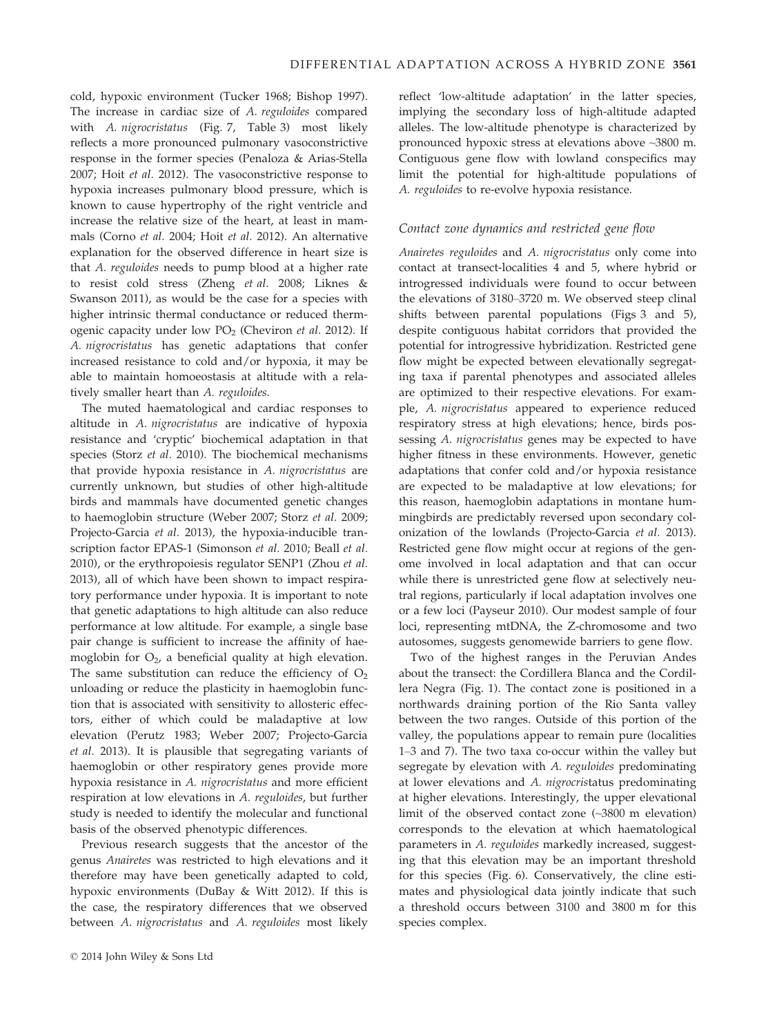cold, hypoxic environment (Tucker 1968; Bishop 1997). The increase in cardiac size of A. reguloides compared with A. nigrocristatus (Fig. 7, Table 3) most likely reflects a more pronounced pulmonary vasoconstrictive response in the former species (Penaloza & Arias-Stella 2007; Hoit et al. 2012). The vasoconstrictive response to hypoxia increases pulmonary blood pressure, which is known to cause hypertrophy of the right ventricle and increase the relative size of the heart, at least in mammals (Corno et al. 2004; Hoit et al. 2012). An alternative explanation for the observed difference in heart size is that A. reguloides needs to pump blood at a higher rate to resist cold stress (Zheng et al. 2008; Liknes & Swanson 2011), as would be the case for a species with higher intrinsic thermal conductance or reduced thermogenic capacity under low  $PO<sub>2</sub>$  (Cheviron et al. 2012). If A. nigrocristatus has genetic adaptations that confer increased resistance to cold and/or hypoxia, it may be able to maintain homoeostasis at altitude with a relatively smaller heart than A. reguloides.

The muted haematological and cardiac responses to altitude in A. nigrocristatus are indicative of hypoxia resistance and 'cryptic' biochemical adaptation in that species (Storz et al. 2010). The biochemical mechanisms that provide hypoxia resistance in A. nigrocristatus are currently unknown, but studies of other high-altitude birds and mammals have documented genetic changes to haemoglobin structure (Weber 2007; Storz et al. 2009; Projecto-Garcia et al. 2013), the hypoxia-inducible transcription factor EPAS-1 (Simonson et al. 2010; Beall et al. 2010), or the erythropoiesis regulator SENP1 (Zhou et al. 2013), all of which have been shown to impact respiratory performance under hypoxia. It is important to note that genetic adaptations to high altitude can also reduce performance at low altitude. For example, a single base pair change is sufficient to increase the affinity of haemoglobin for  $O_2$ , a beneficial quality at high elevation. The same substitution can reduce the efficiency of  $O<sub>2</sub>$ unloading or reduce the plasticity in haemoglobin function that is associated with sensitivity to allosteric effectors, either of which could be maladaptive at low elevation (Perutz 1983; Weber 2007; Projecto-Garcia et al. 2013). It is plausible that segregating variants of haemoglobin or other respiratory genes provide more hypoxia resistance in A. *nigrocristatus* and more efficient respiration at low elevations in A. reguloides, but further study is needed to identify the molecular and functional basis of the observed phenotypic differences.

Previous research suggests that the ancestor of the genus Anairetes was restricted to high elevations and it therefore may have been genetically adapted to cold, hypoxic environments (DuBay & Witt 2012). If this is the case, the respiratory differences that we observed between A. nigrocristatus and A. reguloides most likely

reflect 'low-altitude adaptation' in the latter species, implying the secondary loss of high-altitude adapted alleles. The low-altitude phenotype is characterized by pronounced hypoxic stress at elevations above ~3800 m. Contiguous gene flow with lowland conspecifics may limit the potential for high-altitude populations of A. reguloides to re-evolve hypoxia resistance.

## Contact zone dynamics and restricted gene flow

Anairetes reguloides and A. nigrocristatus only come into contact at transect-localities 4 and 5, where hybrid or introgressed individuals were found to occur between the elevations of 3180–3720 m. We observed steep clinal shifts between parental populations (Figs 3 and 5), despite contiguous habitat corridors that provided the potential for introgressive hybridization. Restricted gene flow might be expected between elevationally segregating taxa if parental phenotypes and associated alleles are optimized to their respective elevations. For example, A. nigrocristatus appeared to experience reduced respiratory stress at high elevations; hence, birds possessing A. nigrocristatus genes may be expected to have higher fitness in these environments. However, genetic adaptations that confer cold and/or hypoxia resistance are expected to be maladaptive at low elevations; for this reason, haemoglobin adaptations in montane hummingbirds are predictably reversed upon secondary colonization of the lowlands (Projecto-Garcia et al. 2013). Restricted gene flow might occur at regions of the genome involved in local adaptation and that can occur while there is unrestricted gene flow at selectively neutral regions, particularly if local adaptation involves one or a few loci (Payseur 2010). Our modest sample of four loci, representing mtDNA, the Z-chromosome and two autosomes, suggests genomewide barriers to gene flow.

Two of the highest ranges in the Peruvian Andes about the transect: the Cordillera Blanca and the Cordillera Negra (Fig. 1). The contact zone is positioned in a northwards draining portion of the Rio Santa valley between the two ranges. Outside of this portion of the valley, the populations appear to remain pure (localities 1–3 and 7). The two taxa co-occur within the valley but segregate by elevation with A. reguloides predominating at lower elevations and A. nigrocristatus predominating at higher elevations. Interestingly, the upper elevational limit of the observed contact zone (~3800 m elevation) corresponds to the elevation at which haematological parameters in A. reguloides markedly increased, suggesting that this elevation may be an important threshold for this species (Fig. 6). Conservatively, the cline estimates and physiological data jointly indicate that such a threshold occurs between 3100 and 3800 m for this species complex.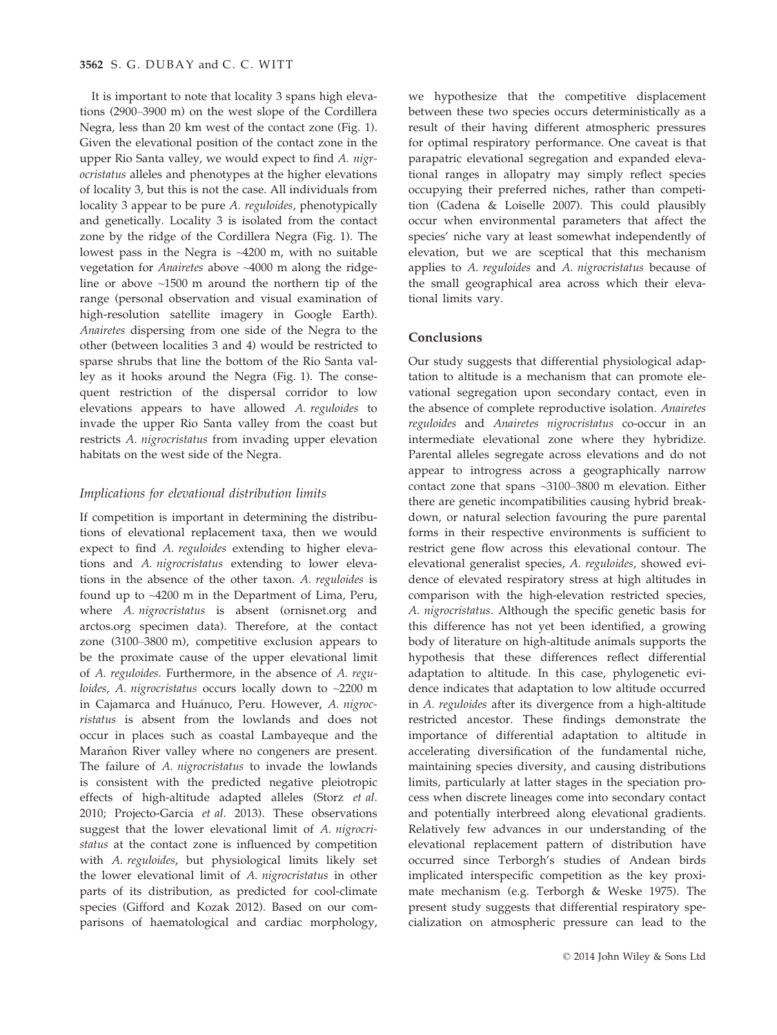It is important to note that locality 3 spans high elevations (2900–3900 m) on the west slope of the Cordillera Negra, less than 20 km west of the contact zone (Fig. 1). Given the elevational position of the contact zone in the upper Rio Santa valley, we would expect to find A. nigrocristatus alleles and phenotypes at the higher elevations of locality 3, but this is not the case. All individuals from locality 3 appear to be pure A. reguloides, phenotypically and genetically. Locality 3 is isolated from the contact zone by the ridge of the Cordillera Negra (Fig. 1). The lowest pass in the Negra is ~4200 m, with no suitable vegetation for Anairetes above ~4000 m along the ridgeline or above ~1500 m around the northern tip of the range (personal observation and visual examination of high-resolution satellite imagery in Google Earth). Anairetes dispersing from one side of the Negra to the other (between localities 3 and 4) would be restricted to sparse shrubs that line the bottom of the Rio Santa valley as it hooks around the Negra (Fig. 1). The consequent restriction of the dispersal corridor to low elevations appears to have allowed A. reguloides to invade the upper Rio Santa valley from the coast but restricts A. nigrocristatus from invading upper elevation habitats on the west side of the Negra.

## Implications for elevational distribution limits

If competition is important in determining the distributions of elevational replacement taxa, then we would expect to find A. reguloides extending to higher elevations and A. nigrocristatus extending to lower elevations in the absence of the other taxon. A. reguloides is found up to ~4200 m in the Department of Lima, Peru, where A. nigrocristatus is absent (ornisnet.org and arctos.org specimen data). Therefore, at the contact zone (3100–3800 m), competitive exclusion appears to be the proximate cause of the upper elevational limit of A. reguloides. Furthermore, in the absence of A. reguloides, A. nigrocristatus occurs locally down to  $\sim$ 2200 m in Cajamarca and Huánuco, Peru. However, A. nigrocristatus is absent from the lowlands and does not occur in places such as coastal Lambayeque and the Marañon River valley where no congeners are present. The failure of A. nigrocristatus to invade the lowlands is consistent with the predicted negative pleiotropic effects of high-altitude adapted alleles (Storz et al. 2010; Projecto-Garcia et al. 2013). These observations suggest that the lower elevational limit of A. nigrocristatus at the contact zone is influenced by competition with A. reguloides, but physiological limits likely set the lower elevational limit of A. nigrocristatus in other parts of its distribution, as predicted for cool-climate species (Gifford and Kozak 2012). Based on our comparisons of haematological and cardiac morphology,

we hypothesize that the competitive displacement between these two species occurs deterministically as a result of their having different atmospheric pressures for optimal respiratory performance. One caveat is that parapatric elevational segregation and expanded elevational ranges in allopatry may simply reflect species occupying their preferred niches, rather than competition (Cadena & Loiselle 2007). This could plausibly occur when environmental parameters that affect the species' niche vary at least somewhat independently of elevation, but we are sceptical that this mechanism applies to A. reguloides and A. nigrocristatus because of the small geographical area across which their elevational limits vary.

# Conclusions

Our study suggests that differential physiological adaptation to altitude is a mechanism that can promote elevational segregation upon secondary contact, even in the absence of complete reproductive isolation. Anairetes reguloides and Anairetes nigrocristatus co-occur in an intermediate elevational zone where they hybridize. Parental alleles segregate across elevations and do not appear to introgress across a geographically narrow contact zone that spans ~3100–3800 m elevation. Either there are genetic incompatibilities causing hybrid breakdown, or natural selection favouring the pure parental forms in their respective environments is sufficient to restrict gene flow across this elevational contour. The elevational generalist species, A. reguloides, showed evidence of elevated respiratory stress at high altitudes in comparison with the high-elevation restricted species, A. nigrocristatus. Although the specific genetic basis for this difference has not yet been identified, a growing body of literature on high-altitude animals supports the hypothesis that these differences reflect differential adaptation to altitude. In this case, phylogenetic evidence indicates that adaptation to low altitude occurred in A. reguloides after its divergence from a high-altitude restricted ancestor. These findings demonstrate the importance of differential adaptation to altitude in accelerating diversification of the fundamental niche, maintaining species diversity, and causing distributions limits, particularly at latter stages in the speciation process when discrete lineages come into secondary contact and potentially interbreed along elevational gradients. Relatively few advances in our understanding of the elevational replacement pattern of distribution have occurred since Terborgh's studies of Andean birds implicated interspecific competition as the key proximate mechanism (e.g. Terborgh & Weske 1975). The present study suggests that differential respiratory specialization on atmospheric pressure can lead to the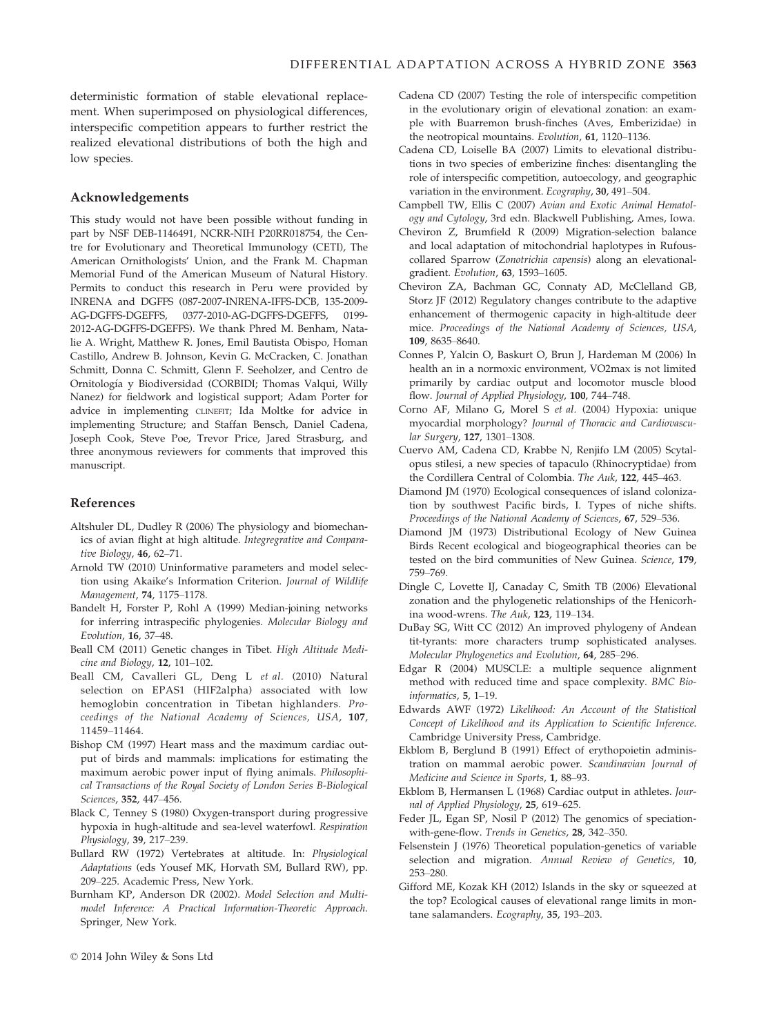deterministic formation of stable elevational replacement. When superimposed on physiological differences, interspecific competition appears to further restrict the realized elevational distributions of both the high and low species.

## Acknowledgements

This study would not have been possible without funding in part by NSF DEB-1146491, NCRR-NIH P20RR018754, the Centre for Evolutionary and Theoretical Immunology (CETI), The American Ornithologists' Union, and the Frank M. Chapman Memorial Fund of the American Museum of Natural History. Permits to conduct this research in Peru were provided by INRENA and DGFFS (087-2007-INRENA-IFFS-DCB, 135-2009- AG-DGFFS-DGEFFS, 0377-2010-AG-DGFFS-DGEFFS, 0199- 2012-AG-DGFFS-DGEFFS). We thank Phred M. Benham, Natalie A. Wright, Matthew R. Jones, Emil Bautista Obispo, Homan Castillo, Andrew B. Johnson, Kevin G. McCracken, C. Jonathan Schmitt, Donna C. Schmitt, Glenn F. Seeholzer, and Centro de Ornitologıa y Biodiversidad (CORBIDI; Thomas Valqui, Willy Nanez) for fieldwork and logistical support; Adam Porter for advice in implementing CLINEFIT; Ida Moltke for advice in implementing Structure; and Staffan Bensch, Daniel Cadena, Joseph Cook, Steve Poe, Trevor Price, Jared Strasburg, and three anonymous reviewers for comments that improved this manuscript.

#### References

- Altshuler DL, Dudley R (2006) The physiology and biomechanics of avian flight at high altitude. Integregrative and Comparative Biology, 46, 62–71.
- Arnold TW (2010) Uninformative parameters and model selection using Akaike's Information Criterion. Journal of Wildlife Management, 74, 1175–1178.
- Bandelt H, Forster P, Rohl A (1999) Median-joining networks for inferring intraspecific phylogenies. Molecular Biology and Evolution, 16, 37–48.
- Beall CM (2011) Genetic changes in Tibet. High Altitude Medicine and Biology, 12, 101–102.
- Beall CM, Cavalleri GL, Deng L et al. (2010) Natural selection on EPAS1 (HIF2alpha) associated with low hemoglobin concentration in Tibetan highlanders. Proceedings of the National Academy of Sciences, USA, 107, 11459–11464.
- Bishop CM (1997) Heart mass and the maximum cardiac output of birds and mammals: implications for estimating the maximum aerobic power input of flying animals. Philosophical Transactions of the Royal Society of London Series B-Biological Sciences, 352, 447–456.
- Black C, Tenney S (1980) Oxygen-transport during progressive hypoxia in hugh-altitude and sea-level waterfowl. Respiration Physiology, 39, 217–239.
- Bullard RW (1972) Vertebrates at altitude. In: Physiological Adaptations (eds Yousef MK, Horvath SM, Bullard RW), pp. 209–225. Academic Press, New York.
- Burnham KP, Anderson DR (2002). Model Selection and Multimodel Inference: A Practical Information-Theoretic Approach. Springer, New York.
- Cadena CD (2007) Testing the role of interspecific competition in the evolutionary origin of elevational zonation: an example with Buarremon brush-finches (Aves, Emberizidae) in the neotropical mountains. Evolution, 61, 1120–1136.
- Cadena CD, Loiselle BA (2007) Limits to elevational distributions in two species of emberizine finches: disentangling the role of interspecific competition, autoecology, and geographic variation in the environment. Ecography, 30, 491–504.
- Campbell TW, Ellis C (2007) Avian and Exotic Animal Hematology and Cytology, 3rd edn. Blackwell Publishing, Ames, Iowa.
- Cheviron Z, Brumfield R (2009) Migration-selection balance and local adaptation of mitochondrial haplotypes in Rufouscollared Sparrow (Zonotrichia capensis) along an elevationalgradient. Evolution, 63, 1593–1605.
- Cheviron ZA, Bachman GC, Connaty AD, McClelland GB, Storz JF (2012) Regulatory changes contribute to the adaptive enhancement of thermogenic capacity in high-altitude deer mice. Proceedings of the National Academy of Sciences, USA, 109, 8635–8640.
- Connes P, Yalcin O, Baskurt O, Brun J, Hardeman M (2006) In health an in a normoxic environment, VO2max is not limited primarily by cardiac output and locomotor muscle blood flow. Journal of Applied Physiology, 100, 744–748.
- Corno AF, Milano G, Morel S et al. (2004) Hypoxia: unique myocardial morphology? Journal of Thoracic and Cardiovascular Surgery, 127, 1301–1308.
- Cuervo AM, Cadena CD, Krabbe N, Renjifo LM (2005) Scytalopus stilesi, a new species of tapaculo (Rhinocryptidae) from the Cordillera Central of Colombia. The Auk, 122, 445–463.
- Diamond JM (1970) Ecological consequences of island colonization by southwest Pacific birds, I. Types of niche shifts. Proceedings of the National Academy of Sciences, 67, 529–536.
- Diamond JM (1973) Distributional Ecology of New Guinea Birds Recent ecological and biogeographical theories can be tested on the bird communities of New Guinea. Science, 179, 759–769.
- Dingle C, Lovette IJ, Canaday C, Smith TB (2006) Elevational zonation and the phylogenetic relationships of the Henicorhina wood-wrens. The Auk, 123, 119–134.
- DuBay SG, Witt CC (2012) An improved phylogeny of Andean tit-tyrants: more characters trump sophisticated analyses. Molecular Phylogenetics and Evolution, 64, 285–296.
- Edgar R (2004) MUSCLE: a multiple sequence alignment method with reduced time and space complexity. BMC Bioinformatics, 5, 1–19.
- Edwards AWF (1972) Likelihood: An Account of the Statistical Concept of Likelihood and its Application to Scientific Inference. Cambridge University Press, Cambridge.
- Ekblom B, Berglund B (1991) Effect of erythopoietin administration on mammal aerobic power. Scandinavian Journal of Medicine and Science in Sports, 1, 88–93.
- Ekblom B, Hermansen L (1968) Cardiac output in athletes. Journal of Applied Physiology, 25, 619–625.
- Feder JL, Egan SP, Nosil P (2012) The genomics of speciationwith-gene-flow. Trends in Genetics, 28, 342–350.
- Felsenstein J (1976) Theoretical population-genetics of variable selection and migration. Annual Review of Genetics, 10, 253–280.
- Gifford ME, Kozak KH (2012) Islands in the sky or squeezed at the top? Ecological causes of elevational range limits in montane salamanders. Ecography, 35, 193–203.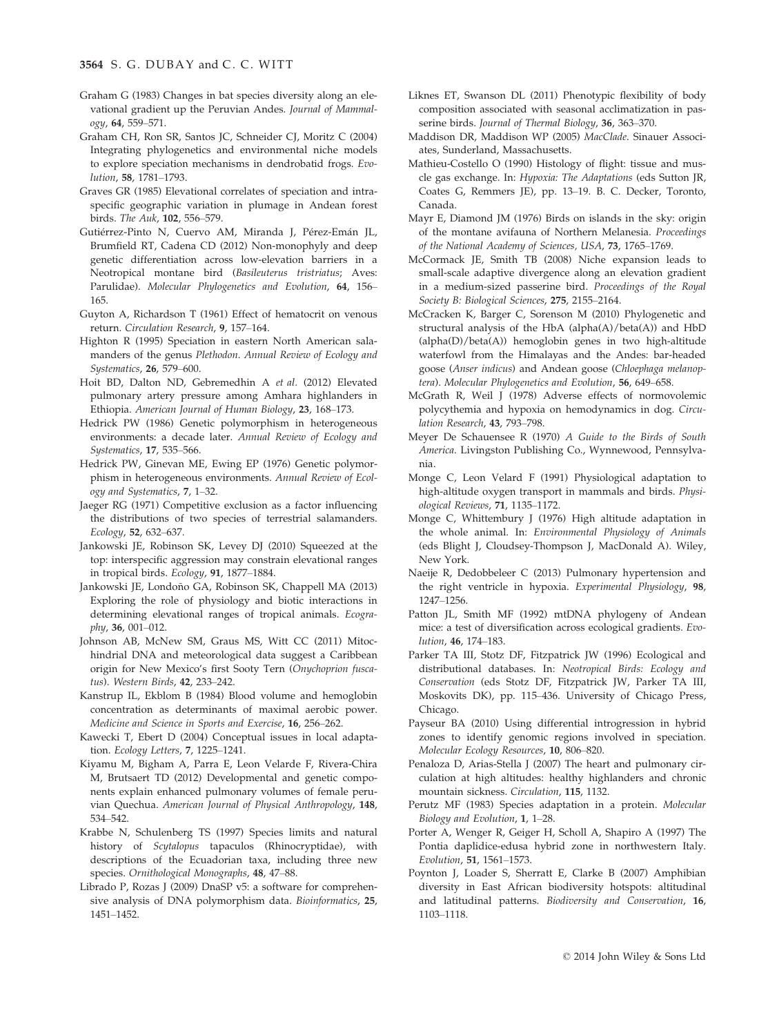- Graham G (1983) Changes in bat species diversity along an elevational gradient up the Peruvian Andes. Journal of Mammalogy, 64, 559–571.
- Graham CH, Ron SR, Santos JC, Schneider CJ, Moritz C (2004) Integrating phylogenetics and environmental niche models to explore speciation mechanisms in dendrobatid frogs. Evolution, 58, 1781–1793.
- Graves GR (1985) Elevational correlates of speciation and intraspecific geographic variation in plumage in Andean forest birds. The Auk, 102, 556–579.
- Gutiérrez-Pinto N, Cuervo AM, Miranda J, Pérez-Emán JL, Brumfield RT, Cadena CD (2012) Non-monophyly and deep genetic differentiation across low-elevation barriers in a Neotropical montane bird (Basileuterus tristriatus; Aves: Parulidae). Molecular Phylogenetics and Evolution, 64, 156– 165.
- Guyton A, Richardson T (1961) Effect of hematocrit on venous return. Circulation Research, 9, 157–164.
- Highton R (1995) Speciation in eastern North American salamanders of the genus Plethodon. Annual Review of Ecology and Systematics, 26, 579–600.
- Hoit BD, Dalton ND, Gebremedhin A et al. (2012) Elevated pulmonary artery pressure among Amhara highlanders in Ethiopia. American Journal of Human Biology, 23, 168–173.
- Hedrick PW (1986) Genetic polymorphism in heterogeneous environments: a decade later. Annual Review of Ecology and Systematics, 17, 535–566.
- Hedrick PW, Ginevan ME, Ewing EP (1976) Genetic polymorphism in heterogeneous environments. Annual Review of Ecology and Systematics, 7, 1–32.
- Jaeger RG (1971) Competitive exclusion as a factor influencing the distributions of two species of terrestrial salamanders. Ecology, 52, 632–637.
- Jankowski JE, Robinson SK, Levey DJ (2010) Squeezed at the top: interspecific aggression may constrain elevational ranges in tropical birds. Ecology, 91, 1877–1884.
- Jankowski JE, Londoño GA, Robinson SK, Chappell MA (2013) Exploring the role of physiology and biotic interactions in determining elevational ranges of tropical animals. Ecography, 36, 001–012.
- Johnson AB, McNew SM, Graus MS, Witt CC (2011) Mitochindrial DNA and meteorological data suggest a Caribbean origin for New Mexico's first Sooty Tern (Onychoprion fuscatus). Western Birds, 42, 233–242.
- Kanstrup IL, Ekblom B (1984) Blood volume and hemoglobin concentration as determinants of maximal aerobic power. Medicine and Science in Sports and Exercise, 16, 256–262.
- Kawecki T, Ebert D (2004) Conceptual issues in local adaptation. Ecology Letters, 7, 1225–1241.
- Kiyamu M, Bigham A, Parra E, Leon Velarde F, Rivera-Chira M, Brutsaert TD (2012) Developmental and genetic components explain enhanced pulmonary volumes of female peruvian Quechua. American Journal of Physical Anthropology, 148, 534–542.
- Krabbe N, Schulenberg TS (1997) Species limits and natural history of Scytalopus tapaculos (Rhinocryptidae), with descriptions of the Ecuadorian taxa, including three new species. Ornithological Monographs, 48, 47–88.
- Librado P, Rozas J (2009) DnaSP v5: a software for comprehensive analysis of DNA polymorphism data. Bioinformatics, 25, 1451–1452.
- Liknes ET, Swanson DL (2011) Phenotypic flexibility of body composition associated with seasonal acclimatization in passerine birds. Journal of Thermal Biology, 36, 363-370.
- Maddison DR, Maddison WP (2005) MacClade. Sinauer Associates, Sunderland, Massachusetts.
- Mathieu-Costello O (1990) Histology of flight: tissue and muscle gas exchange. In: Hypoxia: The Adaptations (eds Sutton JR, Coates G, Remmers JE), pp. 13–19. B. C. Decker, Toronto, Canada.
- Mayr E, Diamond JM (1976) Birds on islands in the sky: origin of the montane avifauna of Northern Melanesia. Proceedings of the National Academy of Sciences, USA, 73, 1765–1769.
- McCormack JE, Smith TB (2008) Niche expansion leads to small-scale adaptive divergence along an elevation gradient in a medium-sized passerine bird. Proceedings of the Royal Society B: Biological Sciences, 275, 2155–2164.
- McCracken K, Barger C, Sorenson M (2010) Phylogenetic and structural analysis of the HbA (alpha(A)/beta(A)) and HbD (alpha(D)/beta(A)) hemoglobin genes in two high-altitude waterfowl from the Himalayas and the Andes: bar-headed goose (Anser indicus) and Andean goose (Chloephaga melanoptera). Molecular Phylogenetics and Evolution, 56, 649–658.
- McGrath R, Weil J (1978) Adverse effects of normovolemic polycythemia and hypoxia on hemodynamics in dog. Circulation Research, 43, 793–798.
- Meyer De Schauensee R (1970) A Guide to the Birds of South America. Livingston Publishing Co., Wynnewood, Pennsylvania.
- Monge C, Leon Velard F (1991) Physiological adaptation to high-altitude oxygen transport in mammals and birds. Physiological Reviews, 71, 1135–1172.
- Monge C, Whittembury J (1976) High altitude adaptation in the whole animal. In: Environmental Physiology of Animals (eds Blight J, Cloudsey-Thompson J, MacDonald A). Wiley, New York.
- Naeije R, Dedobbeleer C (2013) Pulmonary hypertension and the right ventricle in hypoxia. Experimental Physiology, 98, 1247–1256.
- Patton JL, Smith MF (1992) mtDNA phylogeny of Andean mice: a test of diversification across ecological gradients. Evolution, 46, 174–183.
- Parker TA III, Stotz DF, Fitzpatrick JW (1996) Ecological and distributional databases. In: Neotropical Birds: Ecology and Conservation (eds Stotz DF, Fitzpatrick JW, Parker TA III, Moskovits DK), pp. 115–436. University of Chicago Press, Chicago.
- Payseur BA (2010) Using differential introgression in hybrid zones to identify genomic regions involved in speciation. Molecular Ecology Resources, 10, 806–820.
- Penaloza D, Arias-Stella J (2007) The heart and pulmonary circulation at high altitudes: healthy highlanders and chronic mountain sickness. Circulation, 115, 1132.
- Perutz MF (1983) Species adaptation in a protein. Molecular Biology and Evolution, 1, 1–28.
- Porter A, Wenger R, Geiger H, Scholl A, Shapiro A (1997) The Pontia daplidice-edusa hybrid zone in northwestern Italy. Evolution, 51, 1561–1573.
- Poynton J, Loader S, Sherratt E, Clarke B (2007) Amphibian diversity in East African biodiversity hotspots: altitudinal and latitudinal patterns. Biodiversity and Conservation, 16, 1103–1118.